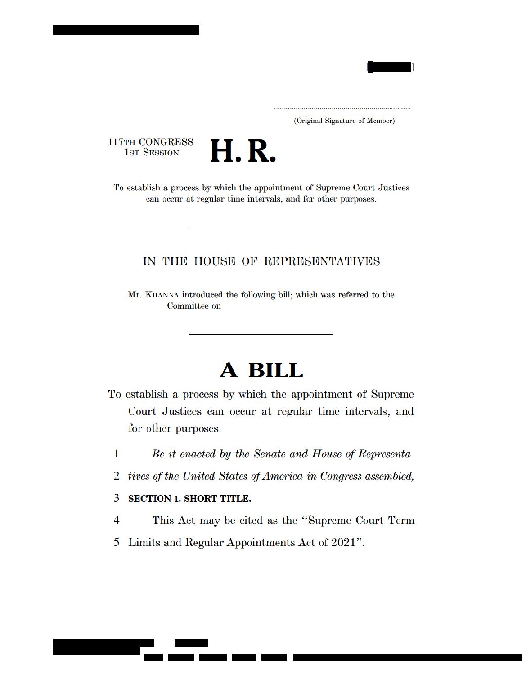

(Original Signature of Member)

117TH CONGRESS **1ST SESSION** 



To establish a process by which the appointment of Supreme Court Justices can occur at regular time intervals, and for other purposes.

## IN THE HOUSE OF REPRESENTATIVES

Mr. KHANNA introduced the following bill; which was referred to the Committee on

# A BILL

- To establish a process by which the appointment of Supreme Court Justices can occur at regular time intervals, and for other purposes.
	- 1 Be it enacted by the Senate and House of Representa-
	- tives of the United States of America in Congress assembled, 2

#### 3 **SECTION 1. SHORT TITLE.**

- This Act may be cited as the "Supreme Court Term 4
- 5 Limits and Regular Appointments Act of 2021".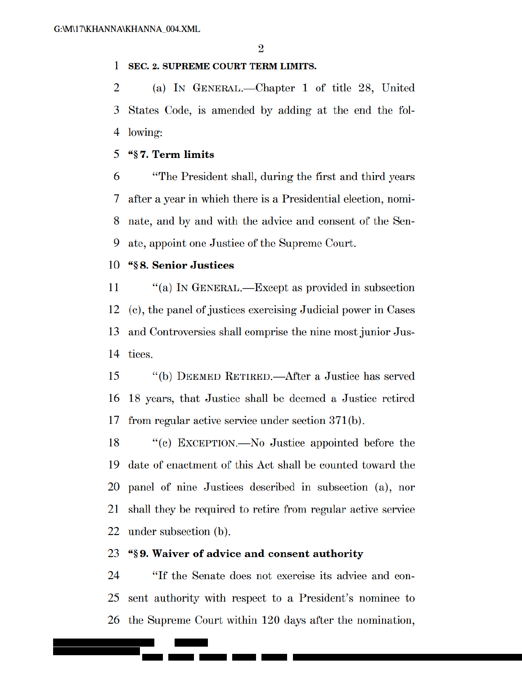#### 1 **SEC. 2. SUPREME COURT TERM LIMITS.**

 $\overline{2}$ (a) IN GENERAL.—Chapter 1 of title 28, United 3 States Code, is amended by adding at the end the following: 4

#### 5 "§7. Term limits

6 "The President shall, during the first and third years 7 after a year in which there is a Presidential election, nomi-8 nate, and by and with the advice and consent of the Sen-9 ate, appoint one Justice of the Supreme Court.

#### "§8. Senior Justices 10

"(a) IN GENERAL.—Except as provided in subsection 11 12 (c), the panel of justices exercising Judicial power in Cases and Controversies shall comprise the nine most junior Jus-13 14 tices.

15 "(b) DEEMED RETIRED.—After a Justice has served 16 18 years, that Justice shall be deemed a Justice retired from regular active service under section  $371(b)$ . 17

18 "(c) EXCEPTION.—No Justice appointed before the 19 date of enactment of this Act shall be counted toward the 20 panel of nine Justices described in subsection (a), nor shall they be required to retire from regular active service 21 22 under subsection (b).

#### 23 "\\$9. Waiver of advice and consent authority

"If the Senate does not exercise its advice and con-24 25 sent authority with respect to a President's nominee to 26 the Supreme Court within 120 days after the nomination,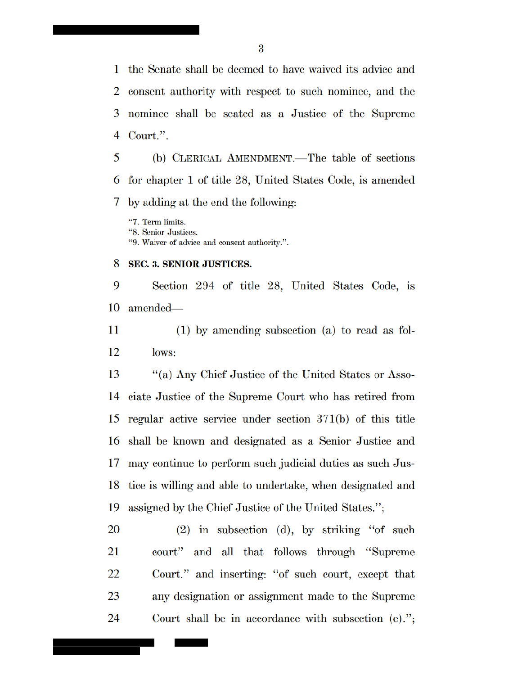the Senate shall be deemed to have waived its advice and 1 consent authority with respect to such nominee, and the 2 nominee shall be seated as a Justice of the Supreme 3 Court.". 4

5 (b) CLERICAL AMENDMENT.—The table of sections for chapter 1 of title 28, United States Code, is amended 6 7 by adding at the end the following:

"7. Term limits.

"8. Senior Justices.

"9. Waiver of advice and consent authority.".

#### 8 **SEC. 3. SENIOR JUSTICES.**

9 Section 294 of title 28, United States Code, is 10 amended—

11  $(1)$  by amending subsection (a) to read as fol-12 lows:

13 "(a) Any Chief Justice of the United States or Asso-14 ciate Justice of the Supreme Court who has retired from 15 regular active service under section  $371(b)$  of this title shall be known and designated as a Senior Justice and 16 may continue to perform such judicial duties as such Jus-17 tice is willing and able to undertake, when designated and 18 19 assigned by the Chief Justice of the United States.";

 $(2)$  in subsection  $(d)$ , by striking "of such 20 21 court" and all that follows through "Supreme" 22 Court." and inserting: "of such court, except that 23 any designation or assignment made to the Supreme 24 Court shall be in accordance with subsection  $(e)$ .";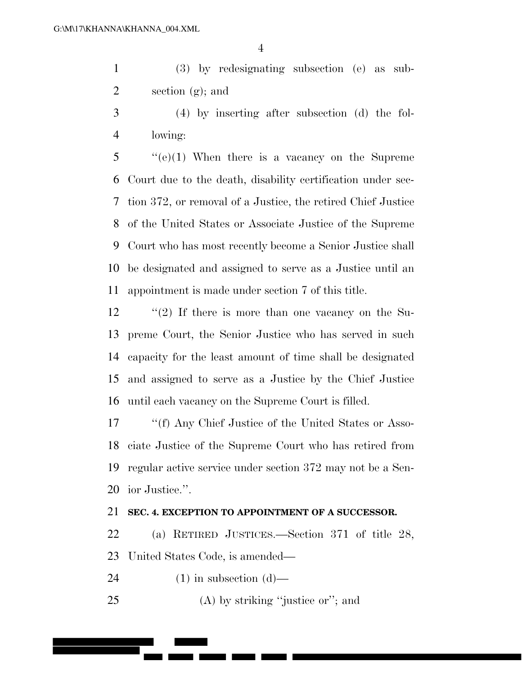(3) by redesignating subsection (e) as sub-section (g); and

 (4) by inserting after subsection (d) the fol-lowing:

 ''(e)(1) When there is a vacancy on the Supreme Court due to the death, disability certification under sec- tion 372, or removal of a Justice, the retired Chief Justice of the United States or Associate Justice of the Supreme Court who has most recently become a Senior Justice shall be designated and assigned to serve as a Justice until an appointment is made under section 7 of this title.

12 ''(2) If there is more than one vacancy on the Su- preme Court, the Senior Justice who has served in such capacity for the least amount of time shall be designated and assigned to serve as a Justice by the Chief Justice until each vacancy on the Supreme Court is filled.

17 ''(f) Any Chief Justice of the United States or Asso- ciate Justice of the Supreme Court who has retired from regular active service under section 372 may not be a Sen-ior Justice.''.

### **SEC. 4. EXCEPTION TO APPOINTMENT OF A SUCCESSOR.**

 (a) RETIRED JUSTICES.—Section 371 of title 28, United States Code, is amended—

24 (1) in subsection  $(d)$ —

25 (A) by striking "justice or"; and